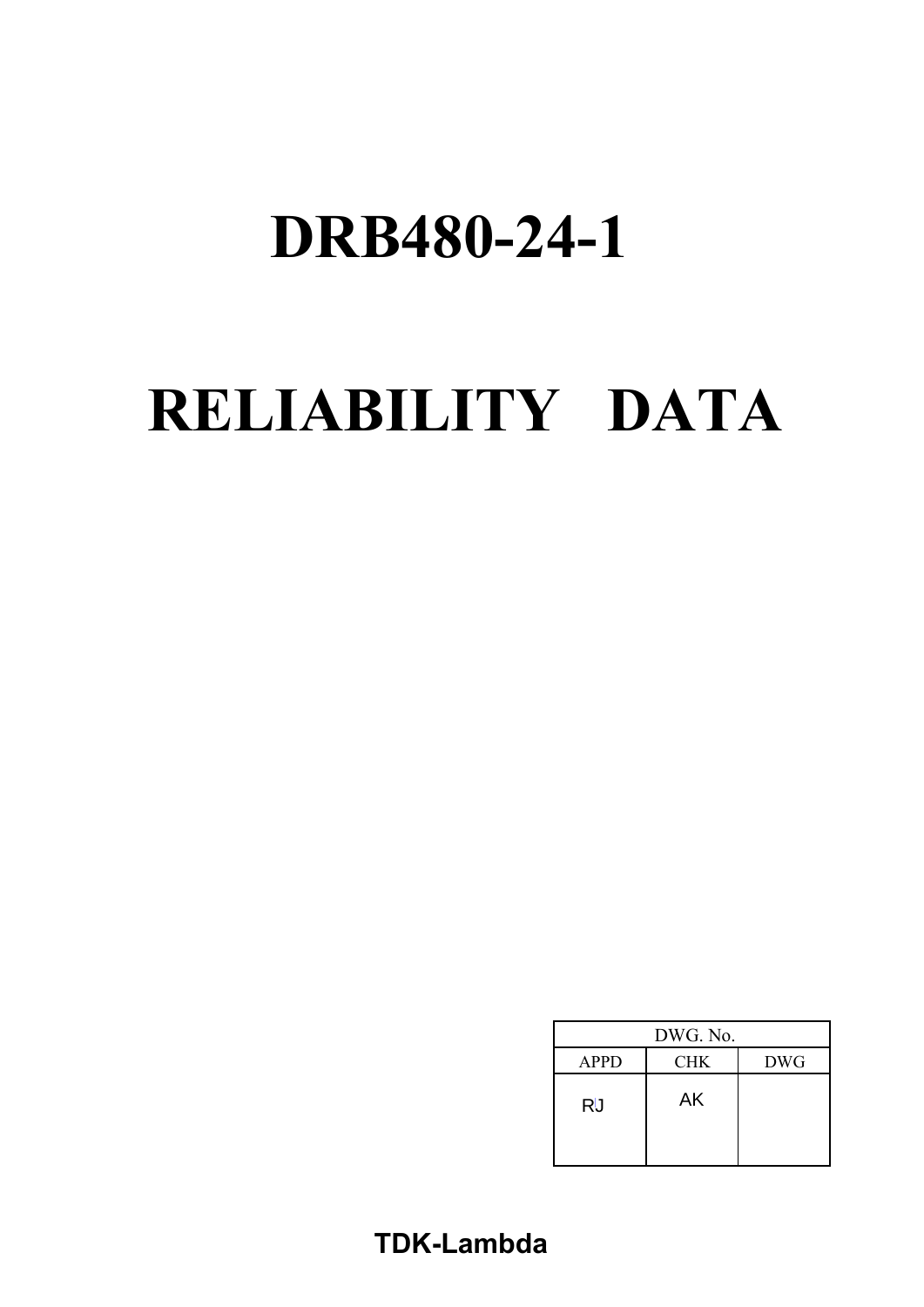# **RELIABILITY DATA**

| DWG. No.    |            |            |
|-------------|------------|------------|
| <b>APPD</b> | <b>CHK</b> | <b>DWG</b> |
| <b>RU</b>   | AK         |            |

# **TDK-Lambda**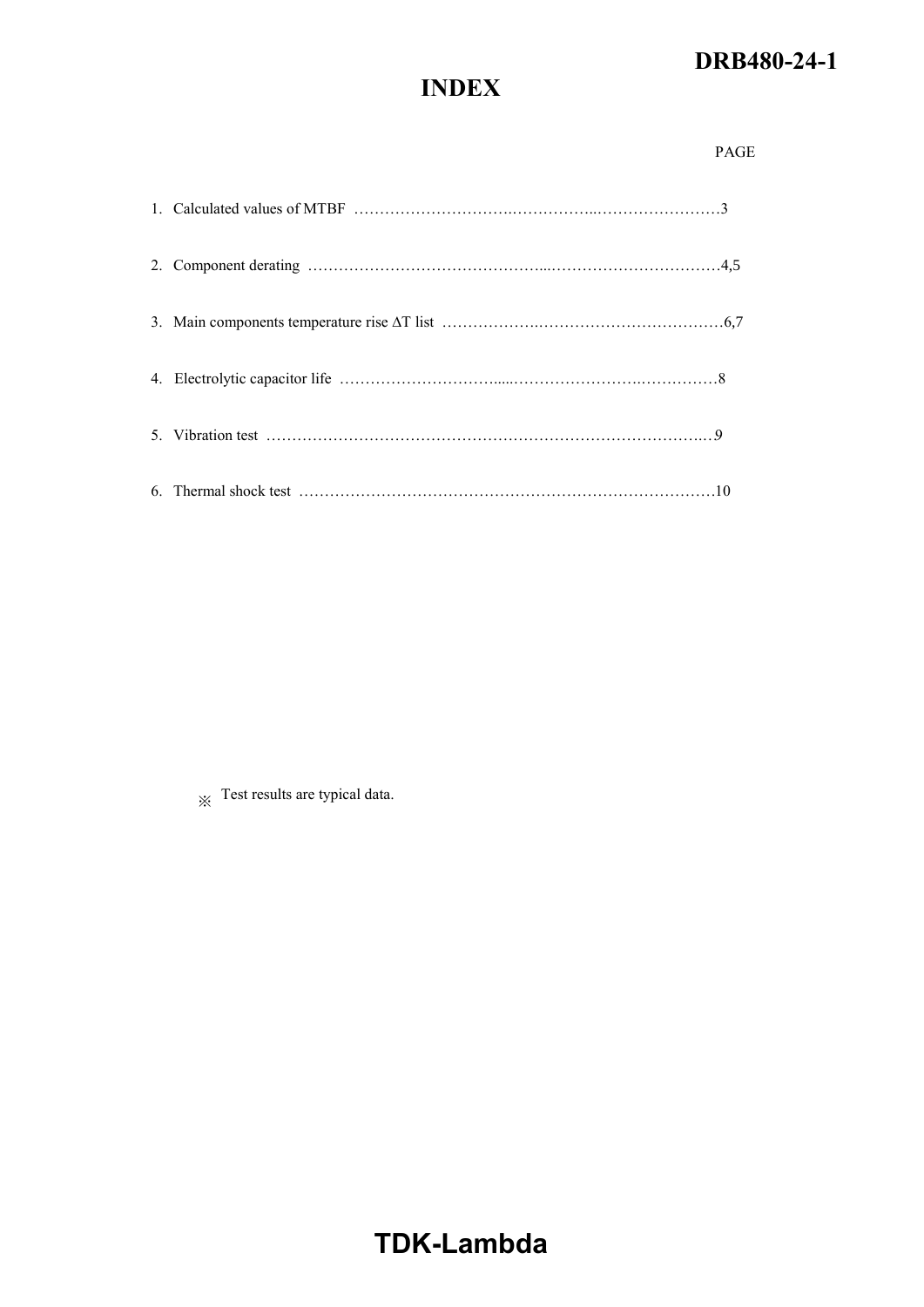# **INDEX**

※ Test results are typical data.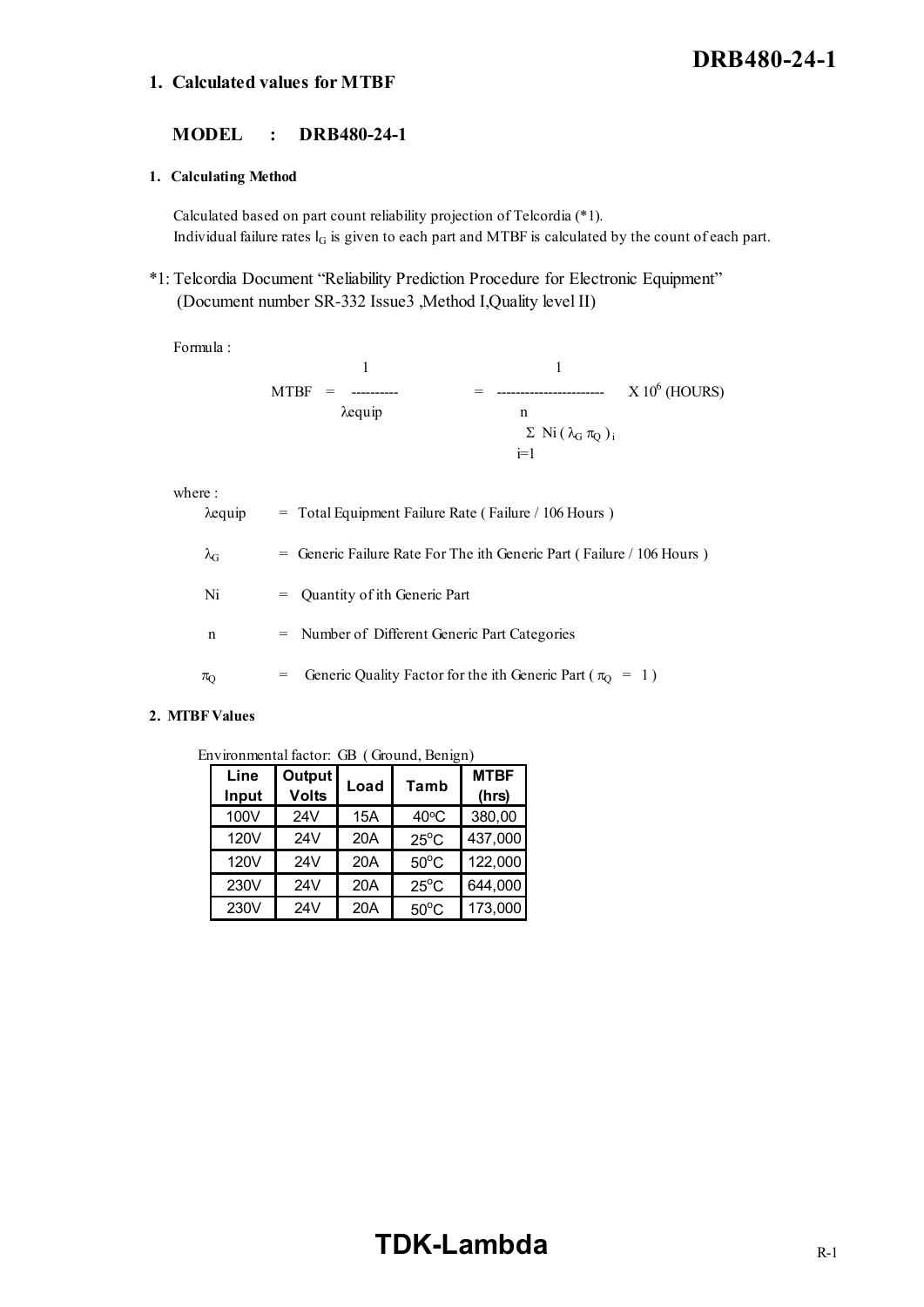## **1. Calculated values for MTBF**

## **MODEL : DRB480-24-1**

#### **1. Calculating Method**

Calculated based on part count reliability projection of Telcordia (\*1). Individual failure rates  $I_G$  is given to each part and MTBF is calculated by the count of each part.

\*1: Telcordia Document "Reliability Prediction Procedure for Electronic Equipment" (Document number SR-332 Issue3 ,Method I,Quality level II)

Formula :

| $MTBF =$<br>----------- |                                     | $X 10^6$ (HOURS) |
|-------------------------|-------------------------------------|------------------|
| $\lambda$ equip         | n                                   |                  |
|                         | $\Sigma$ Ni $(\lambda_G \pi_Q)_{i}$ |                  |
|                         | $i=1$                               |                  |

where :

| $\lambda$ equip   | $=$ Total Equipment Failure Rate (Failure / 106 Hours)                          |
|-------------------|---------------------------------------------------------------------------------|
| $\lambda_{\rm G}$ | $=$ Generic Failure Rate For The ith Generic Part (Failure / 106 Hours)         |
| Ni                | $=$ Quantity of ith Generic Part                                                |
| n                 | = Number of Different Generic Part Categories                                   |
| $\pi_{\Omega}$    | Generic Quality Factor for the ith Generic Part ( $\pi_{\text{O}} = 1$ )<br>$=$ |
|                   |                                                                                 |

#### **2. MTBF Values**

| Environmental factor: GB (Ground, Benign) |  |
|-------------------------------------------|--|
|                                           |  |

| Line<br>Input | Output<br><b>Volts</b> | Load | Tamb           | <b>MTBF</b><br>(hrs) |
|---------------|------------------------|------|----------------|----------------------|
| 100V          | 24V                    | 15A  | $40^{\circ}$ C | 380,00               |
| 120V          | 24V                    | 20A  | $25^{\circ}$ C | 437,000              |
| 120V          | 24V                    | 20A  | $50^{\circ}$ C | 122,000              |
| 230V          | 24V                    | 20A  | $25^{\circ}$ C | 644,000              |
| 230V          | 24V                    | 20A  | $50^{\circ}$ C | 173,000              |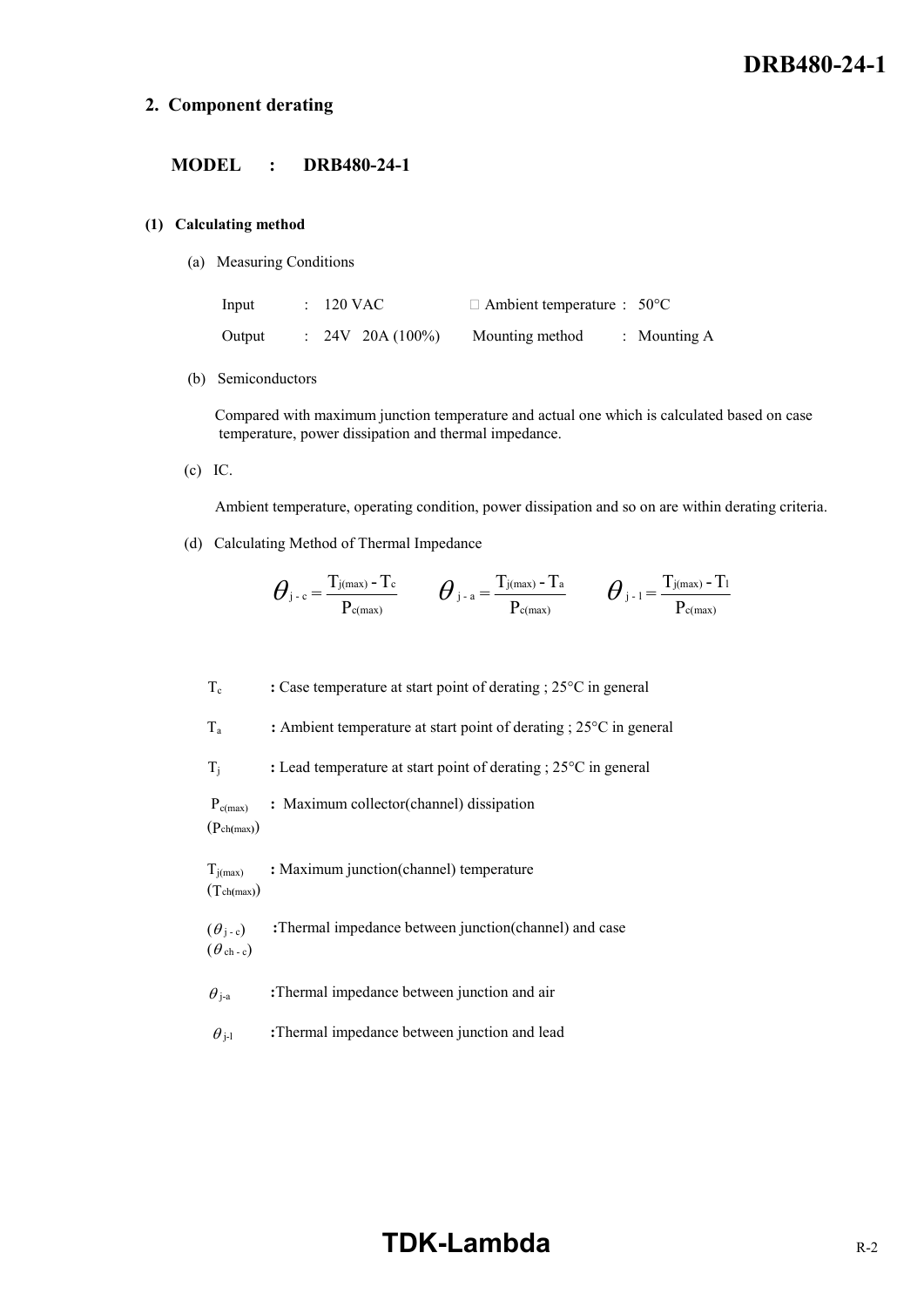## **2. Component derating**

## **MODEL : DRB480-24-1**

#### **(1) Calculating method**

(a) Measuring Conditions

| Input  | $\therefore$ 120 VAC        | $\Box$ Ambient temperature : 50°C |                |
|--------|-----------------------------|-----------------------------------|----------------|
| Output | $\therefore$ 24V 20A (100%) | Mounting method                   | : Mounting $A$ |

(b) Semiconductors

 Compared with maximum junction temperature and actual one which is calculated based on case temperature, power dissipation and thermal impedance.

(c) IC.

Ambient temperature, operating condition, power dissipation and so on are within derating criteria.

(d) Calculating Method of Thermal Impedance

$$
\boldsymbol{\theta}_{j-c} = \frac{T_{j(\text{max})} - T_c}{P_{c(\text{max})}} \qquad \boldsymbol{\theta}_{j-a} = \frac{T_{j(\text{max})} - T_a}{P_{c(\text{max})}} \qquad \boldsymbol{\theta}_{j-1} = \frac{T_{j(\text{max})} - T_1}{P_{c(\text{max})}}
$$

T<sub>c</sub> : Case temperature at start point of derating ; 25<sup>o</sup>C in general

Ta **:** Ambient temperature at start point of derating ; 25°C in general

Tj **:** Lead temperature at start point of derating ; 25°C in general

Pc(max) **:** Maximum collector(channel) dissipation

(Pch**(**max**)**)

Tj(max) **:** Maximum junction(channel) temperature (Tch**(**max**)**)

 $(\theta_{j-c})$  :Thermal impedance between junction(channel) and case  $(\theta$ ch - c)

- $\theta_{i-a}$  **:**Thermal impedance between junction and air
- $\theta_{i-1}$  :Thermal impedance between junction and lead

# **TDK-Lambda** R-2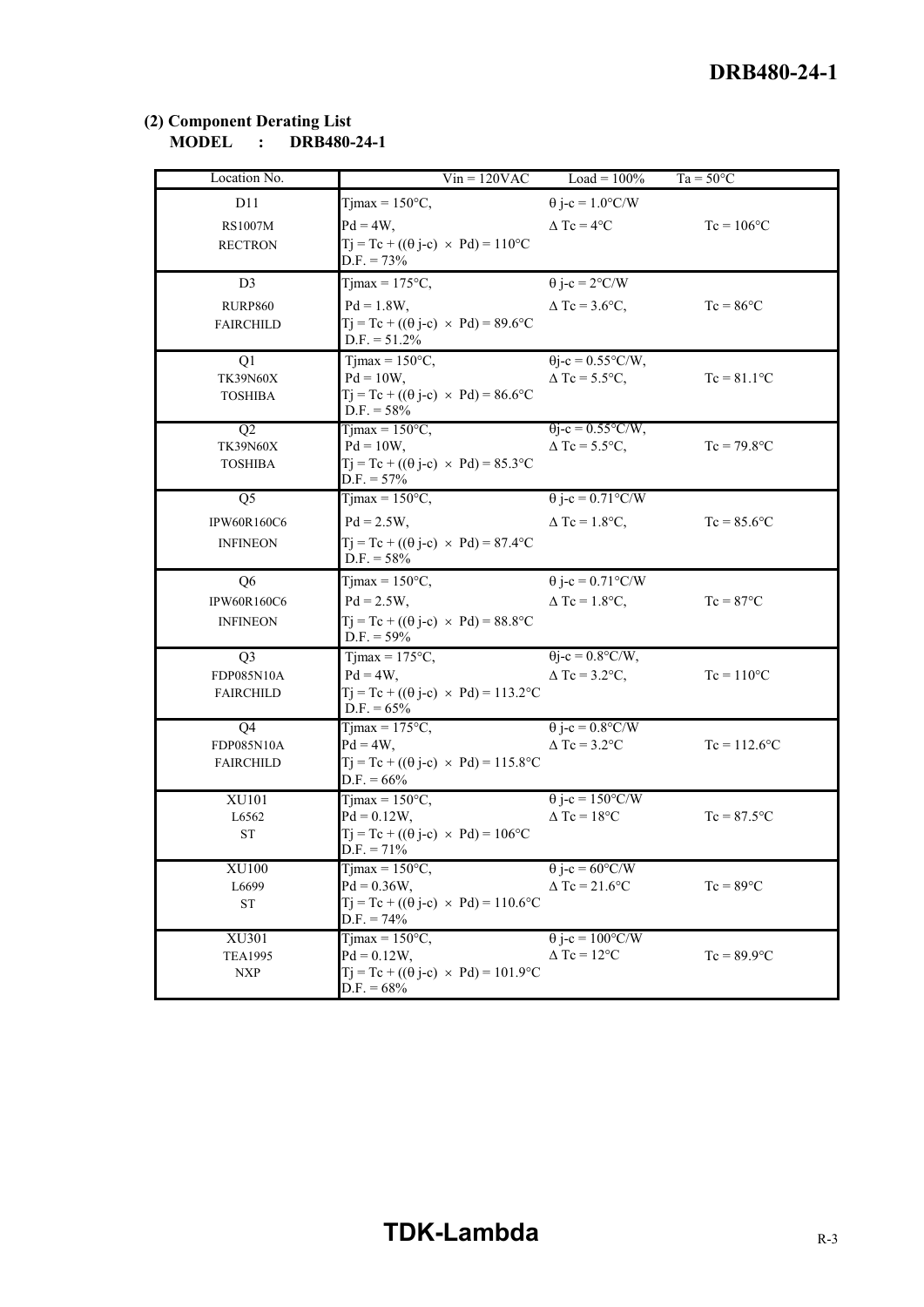## **(2) Component Derating List MODEL : DRB480-24-1**

| Location No.              | $Vin = 120VAC$                                                         | Load = $100\%$                                      | $Ta = 50^{\circ}C$ |
|---------------------------|------------------------------------------------------------------------|-----------------------------------------------------|--------------------|
| D11                       | Tjmax = $150^{\circ}$ C,                                               | $\theta$ j-c = 1.0°C/W                              |                    |
| <b>RS1007M</b>            | $Pd = 4W$ ,                                                            | $\triangle$ Tc = 4 $^{\circ}$ C                     | $Tc = 106$ °C      |
| <b>RECTRON</b>            | $Tj = Tc + ((\theta j - c) \times Pd) = 110^{\circ}C$                  |                                                     |                    |
|                           | $D.F. = 73%$                                                           |                                                     |                    |
| D <sub>3</sub>            | Tjmax = $175^{\circ}$ C,                                               | $\theta$ j-c = 2°C/W                                |                    |
| RURP860                   | $Pd = 1.8W$ ,                                                          | $\triangle$ Tc = 3.6°C,                             | $Tc = 86^{\circ}C$ |
| <b>FAIRCHILD</b>          | $Tj = Tc + ((\theta j - c) \times Pd) = 89.6$ °C                       |                                                     |                    |
|                           | $D.F. = 51.2%$                                                         |                                                     |                    |
| Q1<br><b>TK39N60X</b>     | Timax = $150^{\circ}$ C,<br>$Pd = 10W$ ,                               | $\theta$ j-c = 0.55°C/W,<br>$\triangle$ Tc = 5.5°C, | $Tc = 81.1$ °C     |
| <b>TOSHIBA</b>            | $Tj = Tc + ((\theta j - c) \times Pd) = 86.6$ °C                       |                                                     |                    |
|                           | $D.F. = 58\%$                                                          |                                                     |                    |
| Q2                        | Timax = $150^{\circ}$ C,                                               | $\theta$ j-c = 0.55°C/W,                            |                    |
| <b>TK39N60X</b>           | $Pd = 10W$ ,                                                           | $\Delta$ Tc = 5.5°C,                                | $Tc = 79.8$ °C     |
| <b>TOSHIBA</b>            | $Tj = Tc + ((\theta j - c) \times Pd) = 85.3$ °C<br>$D.F. = 57\%$      |                                                     |                    |
| $\overline{Q5}$           | $T1max = 150°C$ ,                                                      | $\theta$ j-c = 0.71°C/W                             |                    |
| <b>IPW60R160C6</b>        | $Pd = 2.5W,$                                                           | $\triangle$ Tc = 1.8°C,                             | $Tc = 85.6$ °C     |
| <b>INFINEON</b>           | $Tj = Tc + ((\theta j - c) \times Pd) = 87.4$ °C                       |                                                     |                    |
|                           | $D.F. = 58\%$                                                          |                                                     |                    |
| Q <sub>6</sub>            | $Tjmax = 150°C$ ,                                                      | $\theta$ j-c = 0.71°C/W                             |                    |
| IPW60R160C6               | $Pd = 2.5W,$                                                           | $\triangle$ Tc = 1.8°C,                             | $Tc = 87^{\circ}C$ |
| <b>INFINEON</b>           | $Tj = Tc + ((\theta j - c) \times Pd) = 88.8$ °C<br>$D.F. = 59\%$      |                                                     |                    |
| Q <sub>3</sub>            | $Tjmax = 175^{\circ}C$ ,                                               | $\theta$ j-c = 0.8°C/W,                             |                    |
| FDP085N10A                | $Pd = 4W$ ,                                                            | $\triangle$ Tc = 3.2°C,                             | $T_c = 110$ °C     |
| <b>FAIRCHILD</b>          | $Tj = Tc + ((\theta j - c) \times Pd) = 113.2$ °C                      |                                                     |                    |
|                           | $D.F. = 65%$                                                           |                                                     |                    |
| Q4<br>FDP085N10A          | Timax = $175^{\circ}$ C,<br>$Pd = 4W$ ,                                | $\theta$ j-c = 0.8°C/W<br>$\triangle$ Tc = 3.2°C    | $Tc = 112.6$ °C    |
| <b>FAIRCHILD</b>          | $T_1 = Tc + ((\theta i-c) \times Pd) = 115.8$ °C                       |                                                     |                    |
|                           | $D.F. = 66\%$                                                          |                                                     |                    |
| XU101                     | Tjmax = $150^{\circ}$ C,                                               | $\theta$ j-c = 150°C/W                              |                    |
| L6562                     | $Pd = 0.12W$ ,                                                         | $\triangle$ Tc = 18°C                               | $Tc = 87.5$ °C     |
| ${\cal S}{\cal T}$        | $Tj = Tc + ((\theta j - c) \times Pd) = 106^{\circ}C$<br>$D.F. = 71\%$ |                                                     |                    |
| XU100                     | Tjmax = $150^{\circ}$ C,                                               | $\theta$ j-c = 60°C/W                               |                    |
| L6699                     | $Pd = 0.36W,$                                                          | $\triangle$ Tc = 21.6°C                             | $Tc = 89^{\circ}C$ |
| ${\cal S}{\cal T}$        | $Tj = Tc + ((\theta j - c) \times Pd) = 110.6$ °C<br>$D.F. = 74\%$     |                                                     |                    |
| XU301                     | Timax = $150^{\circ}$ C,                                               | $\theta$ j-c = 100°C/W                              |                    |
| <b>TEA1995</b>            | $Pd = 0.12W$ ,                                                         | $\triangle$ Tc = 12°C                               | $Tc = 89.9$ °C     |
| $\ensuremath{\text{NXP}}$ | $Tj = Tc + ((\theta j - c) \times Pd) = 101.9$ °C                      |                                                     |                    |
|                           | $D.F. = 68\%$                                                          |                                                     |                    |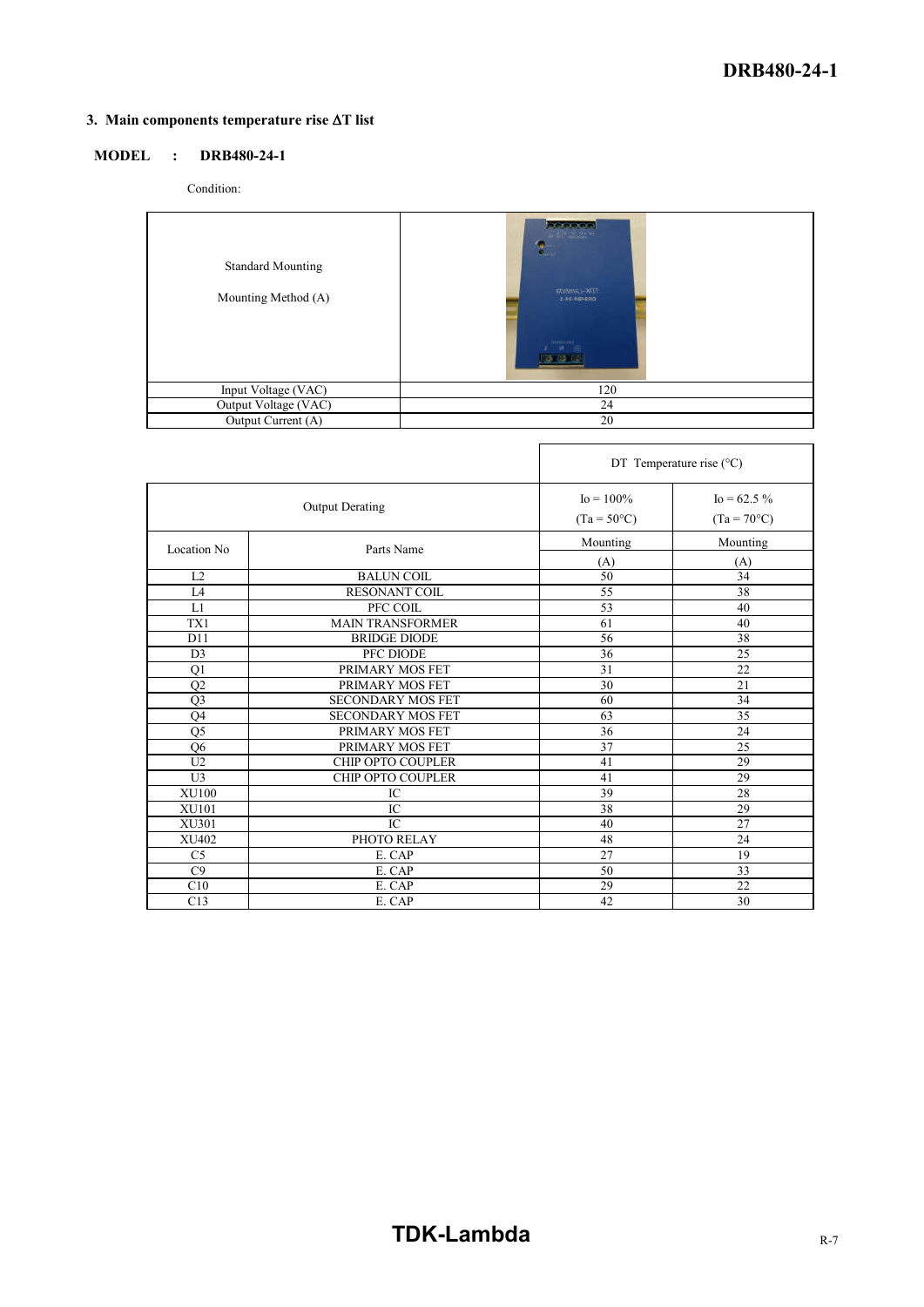## **3. Main** components temperature rise  $\Delta T$  list

## **MODEL : DRB480-24-1**

Condition:

| <b>Standard Mounting</b><br>Mounting Method (A) | <b>BECOOO</b><br><b>出现主题中</b><br><b>Tak-Lambida</b><br>145-054880<br><b>DAVID LIBE</b> |
|-------------------------------------------------|----------------------------------------------------------------------------------------|
| Input Voltage (VAC)                             | 120                                                                                    |
| Output Voltage (VAC)                            | 24                                                                                     |
| Output Current (A)                              | 20                                                                                     |

|                        |                          |                                       | DT Temperature rise $(^{\circ}C)$       |
|------------------------|--------------------------|---------------------------------------|-----------------------------------------|
| <b>Output Derating</b> |                          | $I_0 = 100\%$<br>$(Ta = 50^{\circ}C)$ | $I_0 = 62.5 \%$<br>$(Ta = 70^{\circ}C)$ |
| Location No            | Parts Name               | Mounting                              | Mounting                                |
| L2                     | <b>BALUN COIL</b>        | (A)<br>50                             | (A)<br>34                               |
| IA                     | <b>RESONANT COIL</b>     | 55                                    | 38                                      |
| L1                     | PFC COIL                 | 53                                    | 40                                      |
| TX1                    | <b>MAIN TRANSFORMER</b>  | 61                                    | 40                                      |
| D11                    | <b>BRIDGE DIODE</b>      | 56                                    | 38                                      |
| D <sub>3</sub>         | PFC DIODE                | 36                                    | 25                                      |
| Q1                     | PRIMARY MOS FET          | 31                                    | 22                                      |
| Q2                     | PRIMARY MOS FET          | 30                                    | 21                                      |
| Q <sub>3</sub>         | SECONDARY MOS FET        | 60                                    | 34                                      |
| Q4                     | <b>SECONDARY MOS FET</b> | 63                                    | $\overline{35}$                         |
| Q5                     | PRIMARY MOS FET          | 36                                    | 24                                      |
| Q <sub>6</sub>         | PRIMARY MOS FET          | 37                                    | 25                                      |
| U <sub>2</sub>         | CHIP OPTO COUPLER        | 41                                    | 29                                      |
| U <sub>3</sub>         | CHIP OPTO COUPLER        | 41                                    | 29                                      |
| <b>XU100</b>           | IC                       | 39                                    | 28                                      |
| XU101                  | IC                       | 38                                    | 29                                      |
| XU301                  | IC                       | 40                                    | 27                                      |
| XU402                  | PHOTO RELAY              | 48                                    | 24                                      |
| C <sub>5</sub>         | E. CAP                   | 27                                    | 19                                      |
| C9                     | E. CAP                   | 50                                    | 33                                      |
| C10                    | E. CAP                   | 29                                    | 22                                      |
| C13                    | E. CAP                   | 42                                    | 30                                      |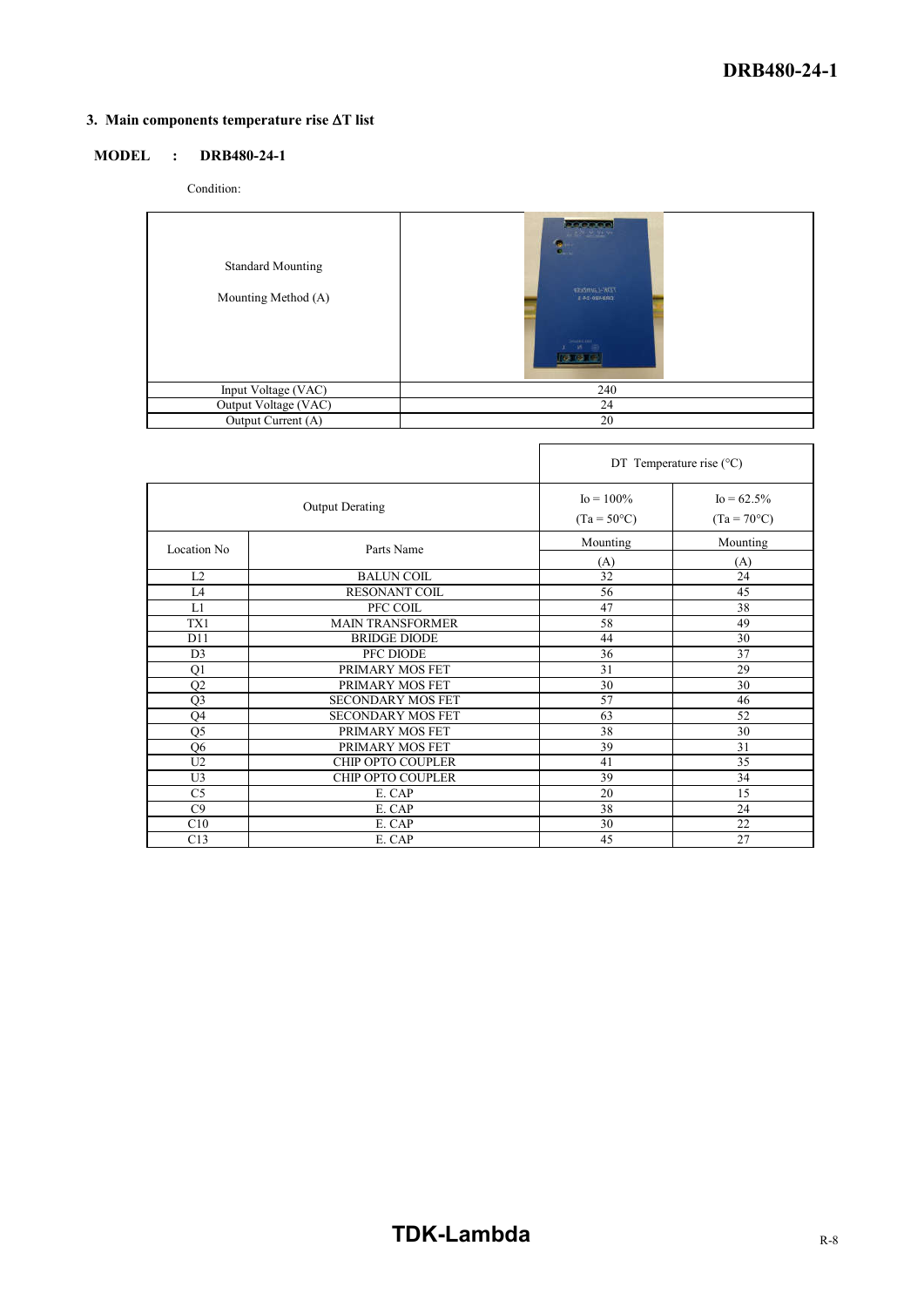## **3. Main** components temperature rise  $\Delta T$  list

## **MODEL : DRB480-24-1**

Condition:

| <b>Standard Mounting</b><br>Mounting Method (A) | 200000<br><b>TANK MENT</b><br>F.<br>The Lambda<br><b>I AS OBABRO</b><br>DOMESTIC: AREE |
|-------------------------------------------------|----------------------------------------------------------------------------------------|
| Input Voltage (VAC)                             | 240                                                                                    |
| Output Voltage (VAC)                            | 24                                                                                     |
| Output Current (A)                              | 20                                                                                     |

|                        |                          | DT Temperature rise $(^{\circ}C)$     |                                        |  |
|------------------------|--------------------------|---------------------------------------|----------------------------------------|--|
| <b>Output Derating</b> |                          | $I_0 = 100\%$<br>$(Ta = 50^{\circ}C)$ | $I_0 = 62.5\%$<br>$(Ta = 70^{\circ}C)$ |  |
| Location No            | Parts Name               | Mounting<br>(A)                       | Mounting<br>(A)                        |  |
| L2                     | <b>BALUN COIL</b>        | 32                                    | 24                                     |  |
| L <sub>4</sub>         | <b>RESONANT COIL</b>     | 56                                    | 45                                     |  |
| L1                     | PFC COIL                 | 47                                    | 38                                     |  |
| TX1                    | <b>MAIN TRANSFORMER</b>  | 58                                    | 49                                     |  |
| D11                    | <b>BRIDGE DIODE</b>      | 44                                    | 30                                     |  |
| D <sub>3</sub>         | PFC DIODE                | 36                                    | 37                                     |  |
| Q1                     | PRIMARY MOS FET          | 31                                    | 29                                     |  |
| Q2                     | PRIMARY MOS FET          | 30                                    | 30                                     |  |
| Q3                     | <b>SECONDARY MOS FET</b> | 57                                    | 46                                     |  |
| Q4                     | <b>SECONDARY MOS FET</b> | 63                                    | 52                                     |  |
| Q5                     | PRIMARY MOS FET          | 38                                    | 30                                     |  |
| Q6                     | PRIMARY MOS FET          | 39                                    | 31                                     |  |
| U2                     | <b>CHIP OPTO COUPLER</b> | 41                                    | 35                                     |  |
| U <sub>3</sub>         | CHIP OPTO COUPLER        | 39                                    | 34                                     |  |
| C <sub>5</sub>         | E. CAP                   | 20                                    | 15                                     |  |
| C9                     | E. CAP                   | 38                                    | 24                                     |  |
| C10                    | E. CAP                   | 30                                    | 22                                     |  |
| C13                    | E. CAP                   | 45                                    | 27                                     |  |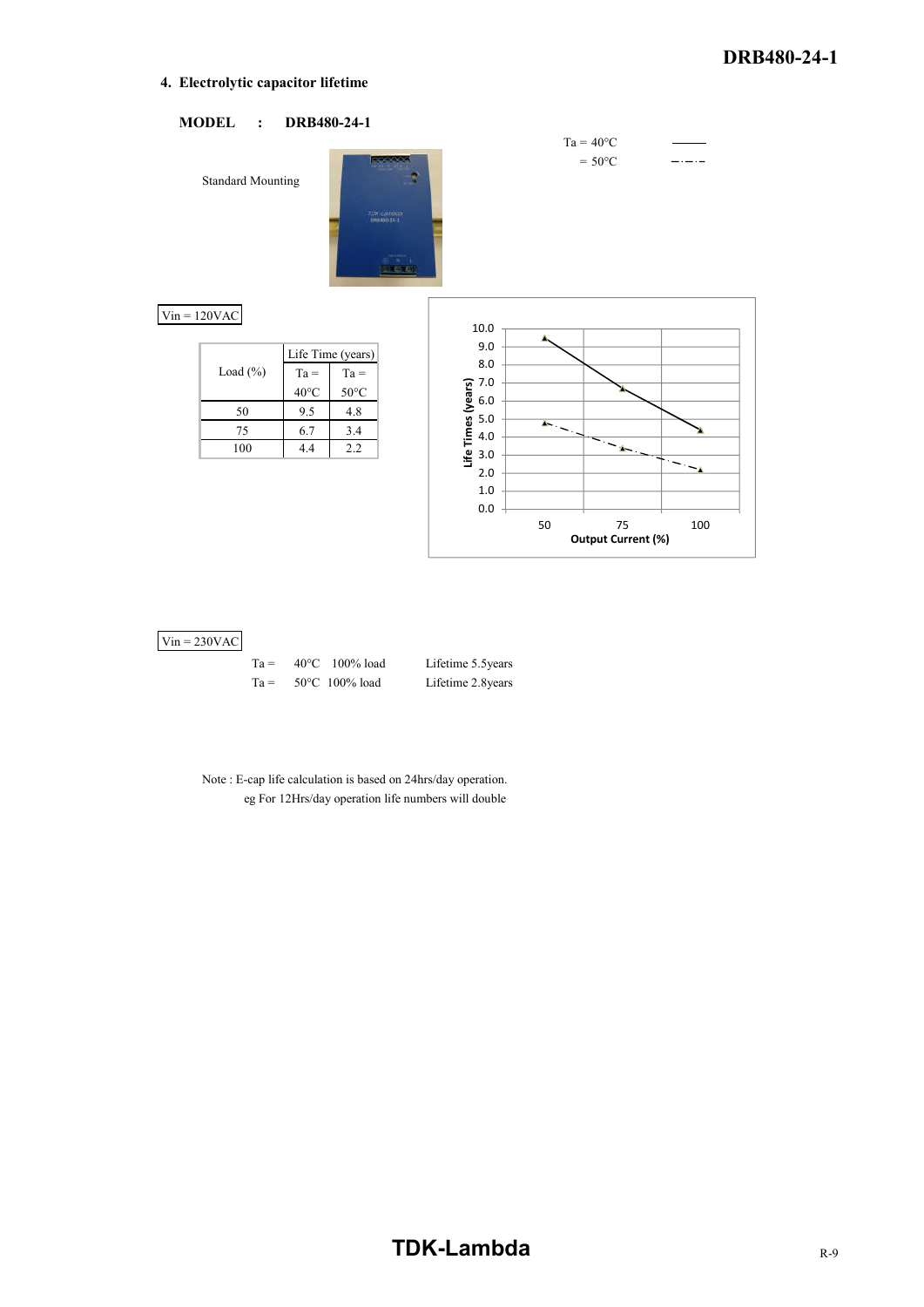#### **4. Electrolytic capacitor lifetime**



#### $Vin = 230VAC$

| $Ta =$ | $40^{\circ}$ C 100% load |
|--------|--------------------------|
| $Ta =$ | $50^{\circ}$ C 100% load |

Lifetime 5.5years Lifetime 2.8years

Note : E-cap life calculation is based on 24hrs/day operation. eg For 12Hrs/day operation life numbers will double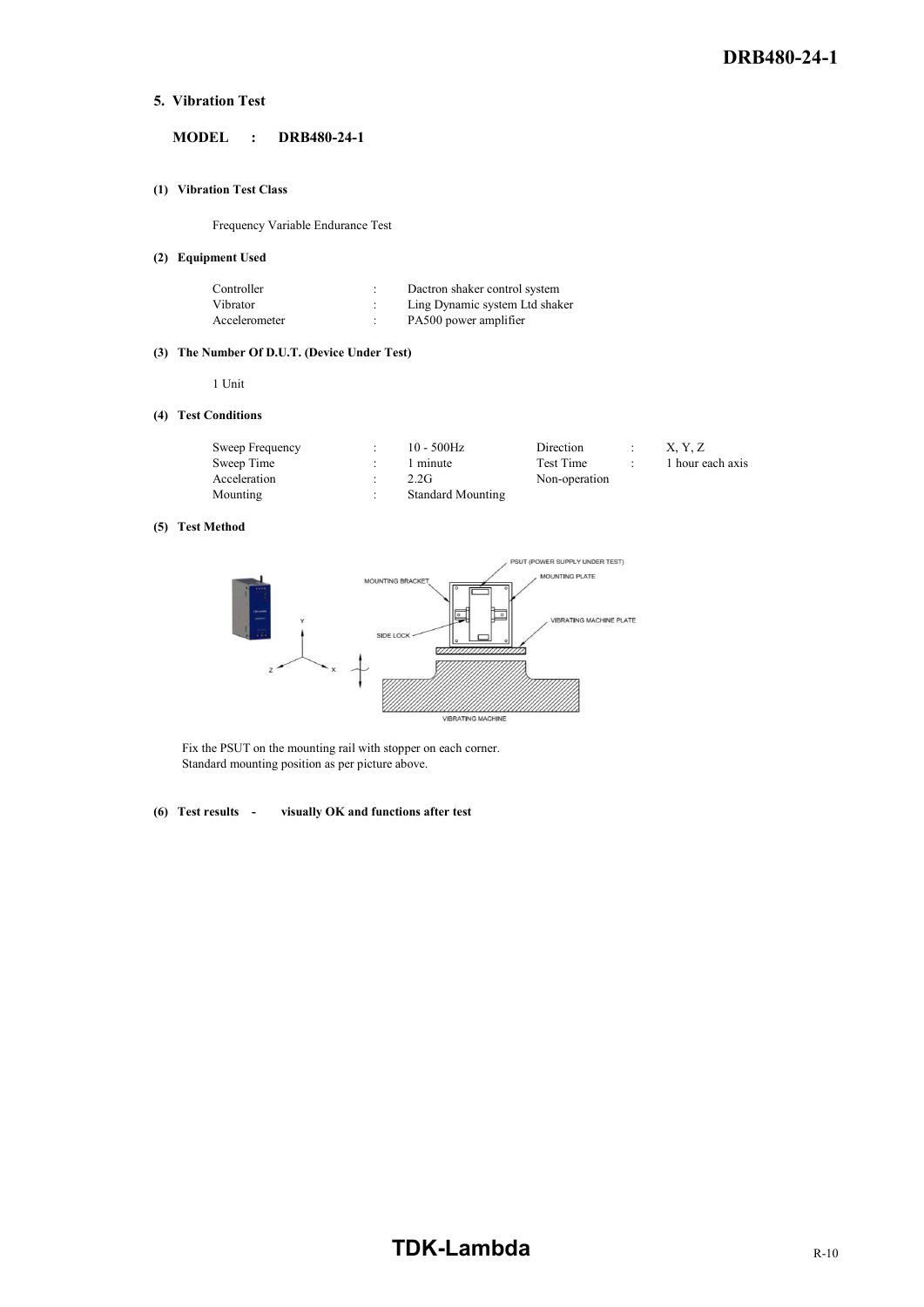#### **5. Vibration Test**

### **MODEL : DRB480-24-1**

#### **(1) Vibration Test Class**

Frequency Variable Endurance Test

#### **(2) Equipment Used**

| Controller    | Dactron shaker control system  |
|---------------|--------------------------------|
| Vibrator      | Ling Dynamic system Ltd shaker |
| Accelerometer | PA500 power amplifier          |

#### **(3) The Number Of D.U.T. (Device Under Test)**

1 Unit

#### **(4) Test Conditions**

| Sweep Frequency | $10 - 500$ Hz            | Direction     | X, Y, Z          |
|-----------------|--------------------------|---------------|------------------|
| Sweep Time      | 1 minute                 | Test Time     | 1 hour each axis |
| Acceleration    | 2.2G                     | Non-operation |                  |
| Mounting        | <b>Standard Mounting</b> |               |                  |

#### **(5) Test Method**



Fix the PSUT on the mounting rail with stopper on each corner. Standard mounting position as per picture above.

#### **(6) Test results - visually OK and functions after test**